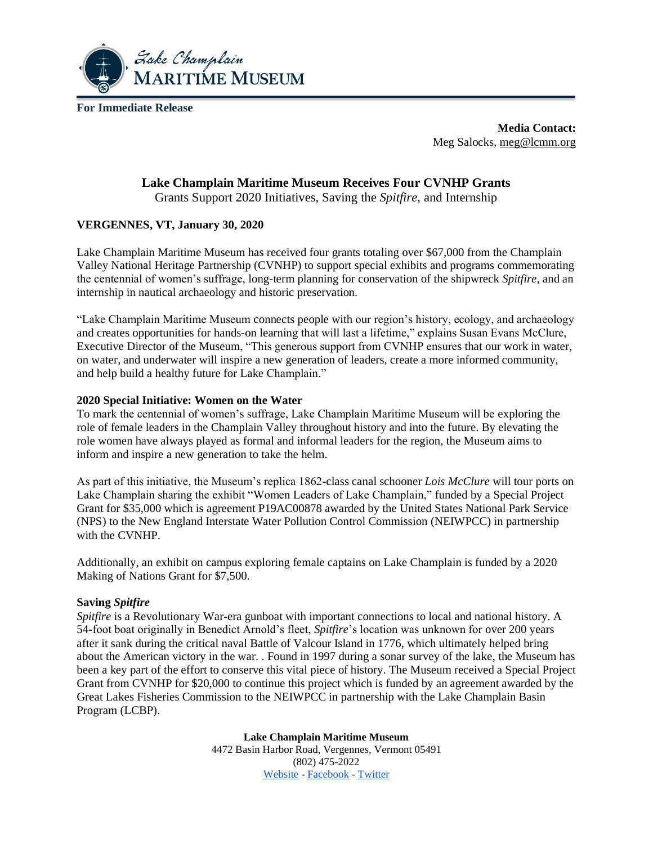

**For Immediate Release**

**Media Contact:** Meg Salocks, [meg@lcmm.org](mailto:meg@lcmm.org)

# **Lake Champlain Maritime Museum Receives Four CVNHP Grants**

Grants Support 2020 Initiatives, Saving the *Spitfire*, and Internship

## **VERGENNES, VT, January 30, 2020**

Lake Champlain Maritime Museum has received four grants totaling over \$67,000 from the Champlain Valley National Heritage Partnership (CVNHP) to support special exhibits and programs commemorating the centennial of women's suffrage, long-term planning for conservation of the shipwreck *Spitfire*, and an internship in nautical archaeology and historic preservation.

"Lake Champlain Maritime Museum connects people with our region's history, ecology, and archaeology and creates opportunities for hands-on learning that will last a lifetime," explains Susan Evans McClure, Executive Director of the Museum, "This generous support from CVNHP ensures that our work in water, on water, and underwater will inspire a new generation of leaders, create a more informed community, and help build a healthy future for Lake Champlain."

### **2020 Special Initiative: Women on the Water**

To mark the centennial of women's suffrage, Lake Champlain Maritime Museum will be exploring the role of female leaders in the Champlain Valley throughout history and into the future. By elevating the role women have always played as formal and informal leaders for the region, the Museum aims to inform and inspire a new generation to take the helm.

As part of this initiative, the Museum's replica 1862-class canal schooner *Lois McClure* will tour ports on Lake Champlain sharing the exhibit "Women Leaders of Lake Champlain," funded by a Special Project Grant for \$35,000 which is agreement P19AC00878 awarded by the United States National Park Service (NPS) to the New England Interstate Water Pollution Control Commission (NEIWPCC) in partnership with the CVNHP.

Additionally, an exhibit on campus exploring female captains on Lake Champlain is funded by a 2020 Making of Nations Grant for \$7,500.

### **Saving** *Spitfire*

*Spitfire* is a Revolutionary War-era gunboat with important connections to local and national history. A 54-foot boat originally in Benedict Arnold's fleet, *Spitfire*'s location was unknown for over 200 years after it sank during the critical naval Battle of Valcour Island in 1776, which ultimately helped bring about the American victory in the war. . Found in 1997 during a sonar survey of the lake, the Museum has been a key part of the effort to conserve this vital piece of history. The Museum received a Special Project Grant from CVNHP for \$20,000 to continue this project which is funded by an agreement awarded by the Great Lakes Fisheries Commission to the NEIWPCC in partnership with the Lake Champlain Basin Program (LCBP).

> **Lake Champlain Maritime Museum** 4472 Basin Harbor Road, Vergennes, Vermont 05491 (802) 475-2022 [Website](https://www.lcmm.org/) - [Facebook](https://www.facebook.com/LakeChamplainMaritime/) - [Twitter](https://twitter.com/LCMaritime)